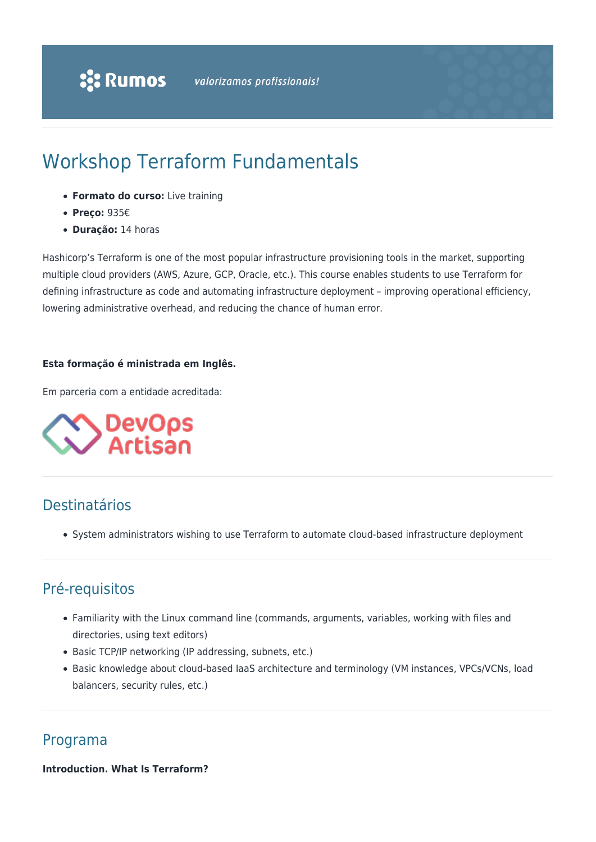# Workshop Terraform Fundamentals

- **Formato do curso:** Live training
- **Preço:** 935€
- **Duração:** 14 horas

Hashicorp's Terraform is one of the most popular infrastructure provisioning tools in the market, supporting multiple cloud providers (AWS, Azure, GCP, Oracle, etc.). This course enables students to use Terraform for defining infrastructure as code and automating infrastructure deployment – improving operational efficiency, lowering administrative overhead, and reducing the chance of human error.

# **Esta formação é ministrada em Inglês.**

Em parceria com a entidade acreditada:



# Destinatários

System administrators wishing to use Terraform to automate cloud-based infrastructure deployment

# Pré-requisitos

- Familiarity with the Linux command line (commands, arguments, variables, working with files and directories, using text editors)
- Basic TCP/IP networking (IP addressing, subnets, etc.)
- Basic knowledge about cloud-based IaaS architecture and terminology (VM instances, VPCs/VCNs, load balancers, security rules, etc.)

# Programa

**Introduction. What Is Terraform?**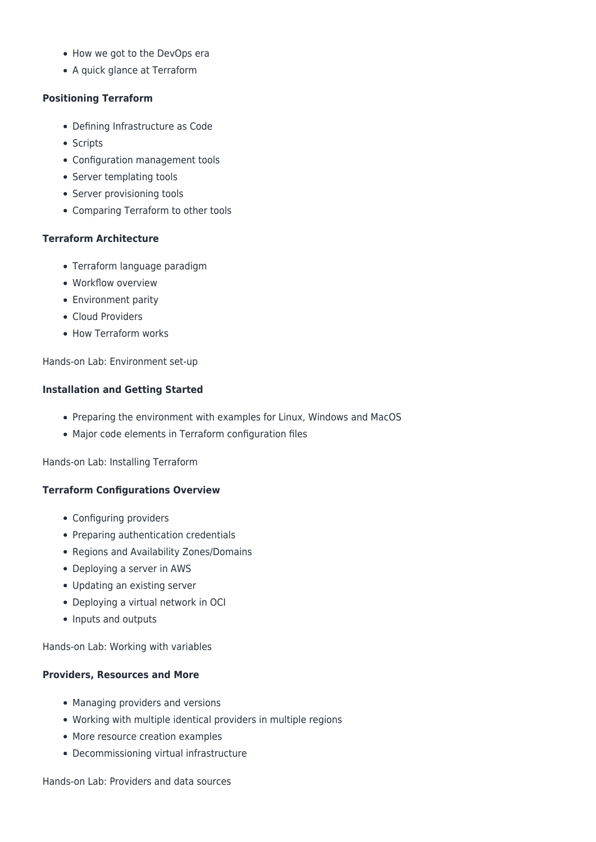- How we got to the DevOps era
- A quick glance at Terraform

#### **Positioning Terraform**

- Defining Infrastructure as Code
- Scripts
- Configuration management tools
- Server templating tools
- Server provisioning tools
- Comparing Terraform to other tools

# **Terraform Architecture**

- Terraform language paradigm
- Workflow overview
- Environment parity
- Cloud Providers
- How Terraform works

Hands-on Lab: Environment set-up

#### **Installation and Getting Started**

- Preparing the environment with examples for Linux, Windows and MacOS
- Major code elements in Terraform configuration files

Hands-on Lab: Installing Terraform

# **Terraform Configurations Overview**

- Configuring providers
- Preparing authentication credentials
- Regions and Availability Zones/Domains
- Deploying a server in AWS
- Updating an existing server
- Deploying a virtual network in OCI
- Inputs and outputs

Hands-on Lab: Working with variables

# **Providers, Resources and More**

- Managing providers and versions
- Working with multiple identical providers in multiple regions
- More resource creation examples
- Decommissioning virtual infrastructure

Hands-on Lab: Providers and data sources